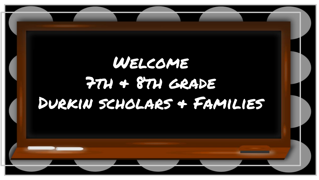## Welcome  $774 + 874$  GRADE Durkin scholars & Families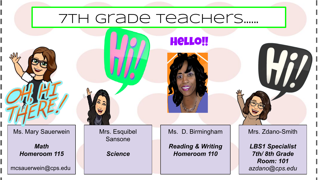## 7th grade teachers…...

Ms. Mary Sauerwein

*Math Homeroom 115*

mcsauerwein@cps.edu

Mrs. Esquibel Sansone

*Science*

Ms. D. Birmingham

Hello!!

*Reading & Writing Homeroom 110*

Mrs. Zdano-Smith

 $\mathcal{H}$ 

*LBS1 Specialist 7th/ 8th Grade Room: 101 azdano@cps.edu*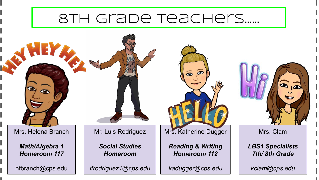## 8th grade teachers…...

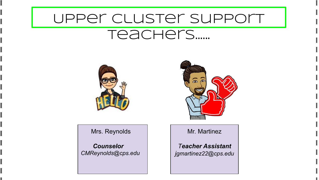## Upper Cluster Support

### teachers…...



Mrs. Reynolds

 *Counselor CMReynolds@cps.edu*



Mr. Martinez

*Teacher Assistant jgmartinez22@cps.edu*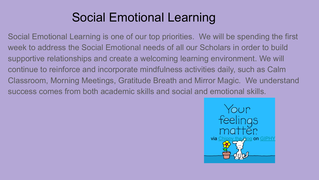## Social Emotional Learning

Social Emotional Learning is one of our top priorities. We will be spending the first week to address the Social Emotional needs of all our Scholars in order to build supportive relationships and create a welcoming learning environment. We will continue to reinforce and incorporate mindfulness activities daily, such as Calm Classroom, Morning Meetings, Gratitude Breath and Mirror Magic. We understand success comes from both academic skills and social and emotional skills.

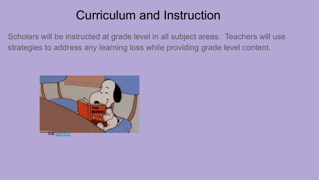## Curriculum and Instruction

Scholars will be instructed at grade level in all subject areas. Teachers will use strategies to address any learning loss while providing grade level content.

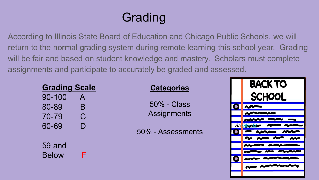## **Grading**

According to Illinois State Board of Education and Chicago Public Schools, we will return to the normal grading system during remote learning this school year. Grading will be fair and based on student knowledge and mastery. Scholars must complete assignments and participate to accurately be graded and assessed.

| <b>Grading Scale</b>     |                                    | <b>Categories</b>                    |
|--------------------------|------------------------------------|--------------------------------------|
| 90-100<br>80-89<br>70-79 | $\mathsf{A}$<br>B<br>$\mathcal{C}$ | $50\%$ - Class<br><b>Assignments</b> |
| 60-69                    |                                    | 50% - Assessments                    |
| 59 and<br><b>Below</b>   |                                    |                                      |

# **BACK TO SCHOOL** via <mark>GIPHY</mark>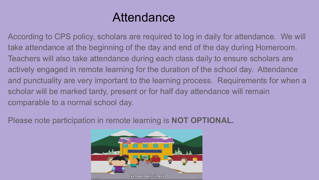## Attendance

According to CPS policy, scholars are required to log in daily for attendance. We will take attendance at the beginning of the day and end of the day during Homeroom. Teachers will also take attendance during each class daily to ensure scholars are actively engaged in remote learning for the duration of the school day. Attendance and punctuality are very important to the learning process. Requirements for when a scholar will be marked tardy, present or for half day attendance will remain comparable to a normal school day.

Please note participation in remote learning is **NOT OPTIONAL.**

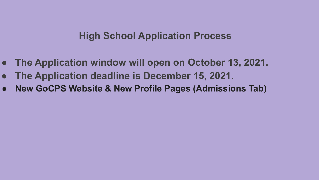#### **High School Application Process**

- **● The Application window will open on October 13, 2021.**
- **● The Application deadline is December 15, 2021.**
- **● New GoCPS Website & New Profile Pages (Admissions Tab)**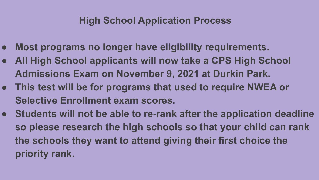#### **High School Application Process**

- **● Most programs no longer have eligibility requirements.**
- **● All High School applicants will now take a CPS High School Admissions Exam on November 9, 2021 at Durkin Park.**
- **● This test will be for programs that used to require NWEA or Selective Enrollment exam scores.**
- **● Students will not be able to re-rank after the application deadline so please research the high schools so that your child can rank the schools they want to attend giving their first choice the priority rank.**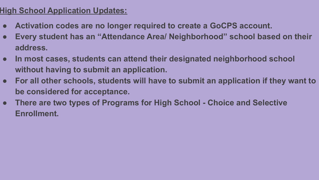- **● Activation codes are no longer required to create a GoCPS account.**
- **● Every student has an "Attendance Area/ Neighborhood" school based on their address.**
- **● In most cases, students can attend their designated neighborhood school without having to submit an application.**
- **● For all other schools, students will have to submit an application if they want to be considered for acceptance.**
- **● There are two types of Programs for High School Choice and Selective Enrollment.**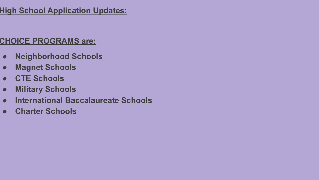#### **CHOICE PROGRAMS are:**

- **● Neighborhood Schools**
- **● Magnet Schools**
- **● CTE Schools**
- **● Military Schools**
- **● International Baccalaureate Schools**
- **● Charter Schools**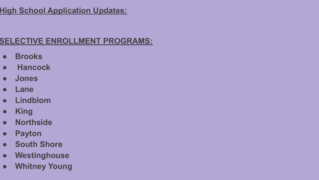#### **SELECTIVE ENROLLMENT PROGRAMS:**

- **● Brooks**
- **Hancock**
- **● Jones**
- **● Lane**
- **● Lindblom**
- **● King**
- **● Northside**
- **● Payton**
- **● South Shore**
- **● Westinghouse**
- **● Whitney Young**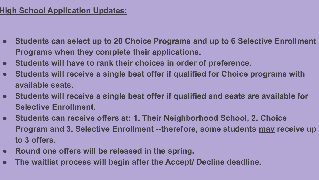- **● Students can select up to 20 Choice Programs and up to 6 Selective Enrollment Programs when they complete their applications.**
- **● Students will have to rank their choices in order of preference.**
- **● Students will receive a single best offer if qualified for Choice programs with available seats.**
- **● Students will receive a single best offer if qualified and seats are available for Selective Enrollment.**
- **● Students can receive offers at: 1. Their Neighborhood School, 2. Choice Program and 3. Selective Enrollment --therefore, some students may receive up to 3 offers.**
- **● Round one offers will be released in the spring.**
- **● The waitlist process will begin after the Accept/ Decline deadline.**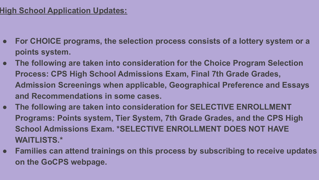- **● For CHOICE programs, the selection process consists of a lottery system or a points system.**
- **● The following are taken into consideration for the Choice Program Selection Process: CPS High School Admissions Exam, Final 7th Grade Grades, Admission Screenings when applicable, Geographical Preference and Essays and Recommendations in some cases.**
- **● The following are taken into consideration for SELECTIVE ENROLLMENT Programs: Points system, Tier System, 7th Grade Grades, and the CPS High School Admissions Exam. \*SELECTIVE ENROLLMENT DOES NOT HAVE WAITLISTS.\***
- **● Families can attend trainings on this process by subscribing to receive updates on the GoCPS webpage.**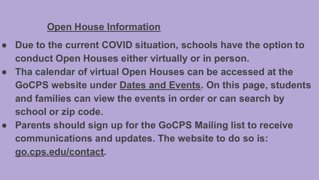#### **Open House Information**

- **● Due to the current COVID situation, schools have the option to conduct Open Houses either virtually or in person.**
- **● Tha calendar of virtual Open Houses can be accessed at the GoCPS website under Dates and Events. On this page, students and families can view the events in order or can search by school or zip code.**
- **● Parents should sign up for the GoCPS Mailing list to receive communications and updates. The website to do so is: go.cps.edu/contact.**